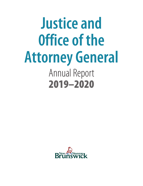# Annual Report 2019–2020 **Justice and 0ffice of the Attorney General**

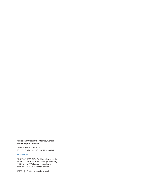#### **Justice and Office of the Attorney General Annual Report 2019-2020**

Province of New Brunswick PO 6000, Fredericton NB E3B 5H1 CANADA

#### www.gnb.ca

ISBN 978-1-4605-2404-6 (bilingual print edition) ISBN 978-1-4605-2405-3 (PDF: English edition) ISSN 2563-142X (Bilingual print edition) ISSN 2563-1438 (PDF: English edition)

13288 | Printed in New Brunswick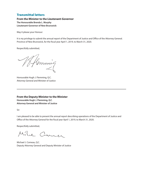## Transmittal letters

**From the Minister to the Lieutenant-Governor The Honourable Brenda L. Murphy Lieutenant-Governor of New Brunswick**

May it please your Honour:

It is my privilege to submit the annual report of the Department of Justice and Office of the Attorney General. Province of New Brunswick, for the fiscal year April 1, 2019, to March 31, 2020.

Respectfully submitted,

Hemming

Honourable Hugh J. Flemming, Q.C. Attorney General and Minister of Justice

### **From the Deputy Minister to the Minister Honourable Hugh J. Flemming, Q.C**. **Attorney General and Minister of Justice**

Sir:

I am pleased to be able to present the annual report describing operations of the Department of Justice and Office of the Attorney General for the fiscal year April 1, 2019, to March 31, 2020.

Respectfully submitted,

Milie Commer

Michael J. Comeau, Q.C. Deputy Attorney General and Deputy Minister of Justice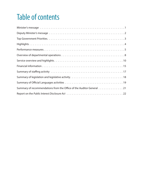## Table of contents

| Summary of recommendations from the Office of the Auditor General 21 |
|----------------------------------------------------------------------|
|                                                                      |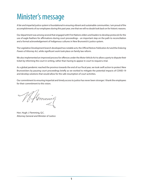## <span id="page-6-0"></span>Minister's message

A fair and impartial justice system is foundational in ensuring vibrant and sustainable communities. I am proud of the accomplishments of our employees during this past year, one that we will no doubt look back on for historic reasons.

Our department was among several that engaged with First Nations elders and leaders to develop protocols for the use of eagle feathers for affirmations during court proceedings – an important step on the path to reconciliation and a formal acknowledgement of Indigenous cultures in New Brunswick's justice system.

The Legislative Development branch developed two notable acts; the *Official Notices Publication Act* and the *Enduring Powers of Attorney Act*, while significant work took place on family law reform.

We also implemented an improved process for offences under the *Motor Vehicle Act* to allow a party to dispute their ticket by informing the court in writing, rather than having to appear in court to request a trial.

As a global pandemic reached the province towards the end of our fiscal year, we took swift action to protect New Brunswickers by pausing court proceedings briefly as we worked to mitigate the potential impacts of COVID-19 and develop solutions that would allow for the safe resumption of court activities.

Our commitment to ensuring impartial and timely access to justice has never been stronger. I thank the employees for their commitment to this vision.

Hemming

Hon. Hugh J. Flemming, Q.C. Attorney General and Minister of Justice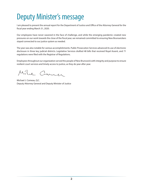## <span id="page-7-0"></span>Deputy Minister's message

I am pleased to present the annual report for the Department of Justice and Office of the Attorney General for the fiscal year ending March 31, 2020.

Our employees have never wavered in the face of challenge, and while the emerging pandemic created new pressures on our work towards the close of the fiscal year, we remained committed to ensuring New Brunswickers stayed connected to our justice system as needed.

The year was also notable for various accomplishments. Public Prosecution Services advanced its use of electronic disclosure in three key judicial districts. Legislative Services drafted 48 bills that received Royal Assent, and 71 regulations were filed with the Registrar of Regulations.

Employees throughout our organization served the people of New Brunswick with integrity and purpose to ensure resilient court services and timely access to justice, as they do year after year.

Mile Commer

Michael J. Comeau, Q.C. Deputy Attorney General and Deputy Minister of Justice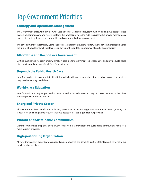## <span id="page-8-0"></span>Top Government Priorities

## Strategy and Operations Management

The Government of New Brunswick (GNB) uses a Formal Management system built on leading business practices to develop, communicate and review strategy. This process provides the Public Service with a proven methodology to execute strategy, increase accountability and continuously drive improvement.

The development of the strategy, using the Formal Management system, starts with our governments roadmap for the future of New Brunswick that focuses on key priorities and the importance of public accountability

## Affordable and Responsive Government

Getting our financial house in order will make it possible for government to be responsive and provide sustainable high-quality public services for all New Brunswickers.

## Dependable Public Health Care

New Brunswickers deserve a sustainable, high-quality health-care system where they are able to access the services they need when they need them.

## World-class Education

New Brunswick's young people need access to a world-class education, so they can make the most of their lives and compete in future job markets.

## Energized Private Sector

All New Brunswickers benefit from a thriving private sector. Increasing private sector investment, growing our labour force and being home to successful businesses of all sizes is good for our province.

## Vibrant and Sustainable Communities

Vibrant communities are places people want to call home. More vibrant and sustainable communities make for a more resilient province.

## High-performing Organization

All New Brunswickers benefit when engaged and empowered civil servants use their talents and skills to make our province a better place.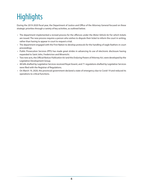## <span id="page-9-0"></span>**Highlights**

During the 2019-2020 fiscal year, the Department of Justice and Office of the Attorney General focused on these strategic priorities through a variety of key activities, as outlined below.

- The department implemented a revised process for the offences under the *Motor Vehicle Act* for which tickets are issued. The new process requires a person who wishes to dispute their ticket to inform the court in writing, rather than having to appear in court to request a trial.
- The department engaged with the First Nation to develop protocols for the handling of eagle feathers in court proceedings.
- Public Prosecution Services (PPS) has made great strides in advancing its use of electronic disclosure having expanded to Saint John, Fredericton and Miramichi.
- Two new acts, the *Official Notices Publication Act* and the *Enduring Powers of Attorney Act*, were developed by the Legislative Development Group.
- 48 bills drafted by Legislative Services received Royal Assent, and 71 regulations drafted by Legislative Services were filed with the Registrar of Regulations.
- On March 19, 2020, the provincial government declared a state of emergency due to Covid-19 and reduced its operations to critical functions.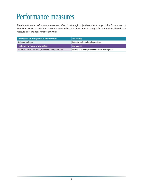## <span id="page-10-0"></span>Performance measures

The department's performance measures reflect its strategic objectives which support the Government of New Brunswick's top priorities. These measures reflect the department's strategic focus; therefore, they do not measure all of the department's activities.

| Affordable and responsive government                      | <b>Measures</b>                                      |
|-----------------------------------------------------------|------------------------------------------------------|
| Reduce expenditures                                       | Ratio of actual to budgeted expenditures             |
| <b>High-performing organization</b>                       | <b>Measures</b>                                      |
| Enhance employee involvement, commitment and productivity | Percentage of employee performance reviews completed |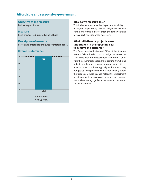## Affordable and responsive government

#### **Objective of the measure**

Reduce expenditures.

#### **Measure**

Ratio of actual to budgeted expenditures.

### **Description of measure**

Percentage of total expenditures over total budget.

### **Overall performance**



### **Why do we measure this?**

This indicator measures the department's ability to manage its expenses against its budget. Department staff monitor this indicator throughout the year and take corrective action when necessary.

### **What initiatives or projects were undertaken in the reporting year to achieve the outcome?**

The Department of Justice and Office of the Attorney General fully utilized its \$57.7M budget in 2019-2020. Most costs within the department stem from salaries, with the other major expenditure coming from hiring outside legal counsel. Many programs were able to maintain small surpluses, typically within their salary budgets as some positions were staffed for only part of the fiscal year. These savings helped the department offset some of its ongoing cost pressures such as complex trials requiring significant resources and increased Legal Aid spending.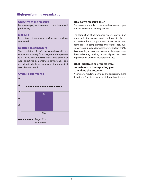## High-performing organization

#### **Objective of the measure**

Enhance employee involvement, commitment and productivity.

#### **Measure**

Percentage of employee performance reviews completed.

### **Description of measure**

The completion of performance reviews will provide an opportunity for managers and employees to discuss review and assess the accomplishment of work objectives, demonstrated competencies and overall individual employee contribution against GNB's business results.

### **Overall performance**



### **Why do we measure this?**

Employees are entitled to receive their year-end performance reviews in a timely manner.

The completion of performance reviews provided an opportunity for managers and employees to discuss and review the accomplishment of work objectives, demonstrated competencies and overall individual employee contribution toward the overall strategy of JAG. By completing reviews, employees and their supervisors discussed strategic and organizational goals to increase organizational and individual performance.

### **What initiatives or projects were undertaken in the reporting year to achieve the outcome?**

Progress was regularly monitored and discussed with the department's senior management throughout the year.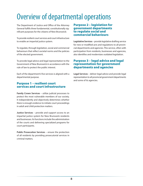## <span id="page-13-0"></span>Overview of departmental operations

The Department of Justice and Office of the Attorney General fulfills three fundamental, constitutionally significant purposes for the citizens of New Brunswick:

To provide resilient court services and court infrastructure to enable an impartial justice system.

To regulate, through legislation, social and commercial behaviours that reflect societal norms and the policies of the elected government.

To provide legal advice and legal representation to the Government of New Brunswick in accordance with the rule of law to protect the public interest.

Each of the department's five services is aligned with a departmental purpose.

## Purpose 1 – resilient court services and court infrastructure

**Family Crown Services** – utilize judicial processes to protect the most vulnerable members of our society. It independently and objectively determines whether there is enough evidence to initiate court proceedings in adult and child protection matters.

**Justice Services** – provide and support access to an impartial justice system for New Brunswick residents and businesses. Its functions include the administration of the courts and delivering specialized programs for court participants.

**Public Prosecution Services** – ensure the protection of all residents by providing prosecutorial services in criminal matters.

## Purpose 2 – legislation for government departments to regulate social and commercial behaviours

**Legislative Services** – provide legislative drafting service for new or modified acts and regulations to all provincial departments and agencies. This service, often with participation from residents, businesses and agencies, also identifies and modernizes outdated legislation.

## Purpose 3 – legal advice and legal representation for government departments and agencies

**Legal Services** – deliver legal advice and provide legal representation to all provincial government departments and some of its agencies.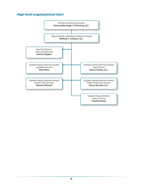## High-level organizational chart

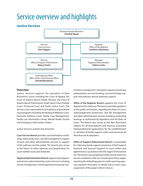## <span id="page-15-0"></span>Service overview and highlights

## Justice Services



#### **Overview**

Justice Services supports the operation of New Brunswick's courts including the Court of Appeal, the Court of Queen's Bench Family Division, the Court of Queen's Bench Trial Division, Small Claims Court, Probate Court, Provincial Court and Youth Justice Court. The Service is also responsible for the delivery of specialized court programs including the Healing to Wellness Court, Domestic Violence Court, Family Case Management, Family Law Information Center, Mental Health Docket and Emergency Intervention Orders.

Justice Services contains five branches:

**Court Service Branch** provides court attendance scheduling, order production, case file management, registry services and other administrative services in support of the judiciary and the public. The branch also serves as the liaison to other agencies and departments for court-related issues and initiatives.

**Regional Administration Branch** supports all programs and services administered by Justice Services including invoice management, central payment processing, transcription management, translation request processing, interpretation services booking, court technology support and judiciary special expenses support.

**Office of the Registrar Branch** supports the Court of Appeal and its Judiciary. The branch provides guidance to the public and lawyers regarding the Rules of Court, order/judgement production, case file management and other administrative services including conducting hearings as authorized by legislation and the Rules of Court. The branch also serves as the New Brunswick registry for all bankruptcies and divorces, processes interjurisdictional applications for the establishment or variation of family support orders and processes all New Brunswick adoptions.

**Office of Support Enforcement Branch** is responsible for enforcing family support provisions (Child Support Payment and Spousal Support) in court orders and agreements in accordance with the *Support Enforcement Act*. The branch uses progressive enforcement actions to ensure compliance that can include garnishing wages, reporting the defaulting payer to credit reporting agencies, passport revocation or denial, and in some cases, suspension of the payer's driver's licence.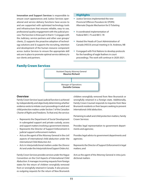**Innovation and Support Services** is responsible to ensure court appearances and Justice Services operational and service delivery functions have access to and are supported with optimized technology tools and infrastructure that ensures reliable, easy to use, professional quality engagement with the judicial process. The function is three part in that it: 1) engages with the Judiciary, service partners and other user groups/ clients, 2) supports the proactive adoption of technology solutions and 3) supports the recruiting, retention and development of the human resource component across Justice Services to ensure the appropriate skill sets are in place to promote optimal service delivery to our clients and partners.

#### **Highlights**

- Justice Services implemented the new *Provincial Offences Procedure Act* (POPA) Alternate Dispute Mechanism for E-Ticketing
- It coordinated implementation of Federal Bill C-75 and Bill C-78
- Hosted the Heads of Court Administration of Canada (HOCA) annual meeting in St. Andrews, NB
- It engaged with First Nations to develop protocols for the handling of eagle feathers in court proceedings. The work will continue in 2020-2021.

## Family Crown Services



#### **Overview**

Family Crown Services' quasi-judicial function is achieved by independently and objectively determining whether evidence exists to initiate court proceedings in adult and child protection matters under Section 7 of the *Canadian Charter of Rights and Freedoms*. To that end, the service:

- Represents the Department of Social Development in subrogated support and private custody, access and support matters involving a government interest.
- Represents the Director of Support Enforcement in judicial support enforcement matters.
- Acts as the agent of the Attorney General in the civil aspects of international child abduction under the *International Child Abduction Act*.
- Acts in interjurisdictional matters under the *Divorce Act* and under the *Interjurisdictional Support Orders Act*.

Family Crown Services provides services under the Hague Convention on the Civil Aspects of International Child Abduction. It manages incoming requests from foreign states for the return of children wrongfully removed from or wrongfully retained in Canada. It also processes outgoing requests for the return of New Brunswick

children wrongfully removed from New Brunswick or wrongfully retained in a foreign state. Additionally, Family Crown Counsel responds to inquiries from New Brunswick residents or their lawyers seeking to prevent international child abduction.

Pertaining to adult and child protection matters, Family Crown Services:

Provides legal representation to government departments and agencies;

Provides legal advice to government departments and agencies;

Represents the Director of Support Enforcement in legal matters; and

Acts as the agent of the Attorney General in intra-jurisdictional matters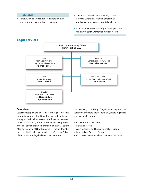#### **Highlights**

- Family Crown Services litigated approximately one thousand cases within its mandate.
- The branch introduced the Family Crown Services Operations Manual detailing all applicable branch policies and directives
- Family Crown Services staff provided specialized training to social workers and support staff.



#### **Overview**

Legal Services provides legal advice and legal representation to Government of New Brunswick departments and agencies in all matters except those pertaining to public prosecution, protection of vulnerable persons, and legislative drafting. Its professional staff assists the Attorney General of New Brunswick in the fulfilment of their constitutionally mandated role as Chief Law Officer of the Crown and legal advisor to government.

The increasing complexity of legal matters requires specialization. Therefore, the branch's lawyers are organized into five practice groups:

- Constitutional Law Group
- Litigation Group
- Administrative and Employment Law Group
- Legal Advice Services Group
- Corporate, Commercial and Property Law Group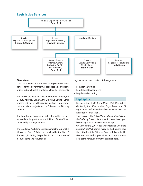## Legislative Services



#### **Overview**

Legislative Services is the central legislative drafting service for the government. It produces acts and regulations in both English and French for all departments.

The service provides advice to the Attorney General, the Deputy Attorney General, the Executive Council Office and the Cabinet on all legislative matters. It also carries out law reform projects for the Office of the Attorney General.

The Registrar of Regulations is located within the service and discharges the responsibilities of that office as provided by the *Regulations Act*.

The Legislative Publishing Unit discharges the responsibilities of the Queen's Printer as provided by the *Queen's Printer Act*, including the publication and distribution of all public acts and regulations.

Legislative Services consists of three groups:

- Legislative Drafting
- Legislation Development
- Legislative Publishing

#### **Highlights**

- Between April 1, 2019, and March 31, 2020, 48 bills drafted by the office received Royal Assent, and 71 regulations drafted by the office were filed with the Registrar of Regulations.
- Two new Acts, the *Official Notices Publication Act* and the *Enduring Powers of Attorney Act*, were developed by the Legislative Development Group.
- On December 31, 2019, acts were repealed under the *Statute Repeal Act*, administered by the branch under the authority of the Attorney General. This resulted in six more outdated, unproclaimed acts or portions of acts being removed from the statute books.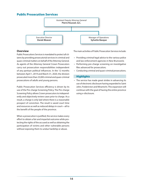## Public Prosecution Services



### **Overview**

Public Prosecutions Services is mandated to protect all citizens by providing prosecutorial services in criminal and quasi-criminal matters on behalf of the Attorney General. As agents of the Attorney General Crown Prosecutors carry out prosecution responsibilities independent of any partisan political influences. In the 12 months between April 1, 2019 and March 31, 2020, the division prosecuted more than 23,000 criminal and quasi-criminal prosecutions of adults and young persons.

Public Prosecution Services efficiency is driven by its use of the Pre-charge Screening Policy. The Pre-charge Screening Policy allows Crown prosecutors to independently and objectively review cases prior to charge. As a result, a charge is only laid where there is a reasonable prospect of conviction. The result is saved court time and resources as well as reduced delays in court—all to the benefit of the people of the province.

When a prosecution is justified, the service makes every effort to obtain a fair and impartial outcome while protecting the rights of the accused as well as obtaining the participation of victims and other vulnerable persons without exposing them to undue hardship or abuse.

The main activities of Public Prosecution Services include:

- Providing criminal legal advice to the various police and law enforcement agencies in New Brunswick;
- Performing pre-charge screening on investigative files advanced for prosecution;
- Conducting criminal and quasi-criminal prosecutions.

#### **Highlights**

• The service has made great strides in advancing its use of electronic disclosure having expanded to Saint John, Fredericton and Miramichi. This expansion will continue with the goal of having the entire province using e-disclosure.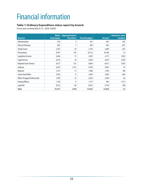## <span id="page-20-0"></span>Financial information

## **Table 1: Ordinary Expenditure status report by branch**

Fiscal year ending March 31, 2020 (\$000)

| <b>Branch</b>                  | <b>Main</b><br><b>Estimates</b> | <b>Appropriation</b><br><b>Transfers</b> | <b>Final Budget</b> | <b>Actual</b> | <b>Variance over</b><br>(under) |
|--------------------------------|---------------------------------|------------------------------------------|---------------------|---------------|---------------------------------|
| Administration                 | 618                             | 5                                        | 623                 | 605           | (18)                            |
| Policy & Planning              | 683                             | 7                                        | 690                 | 603           | (87)                            |
| <b>Family Crown</b>            | 2,705                           | 39                                       | 2,744               | 2,690         | (54)                            |
| Prosecutions                   | 9,991                           | 142                                      | 10,133              | 10,186        | 53                              |
| Legislative Services           | 2,846                           | 13                                       | 2,859               | 2,757         | (102)                           |
| Legal Services                 | 4,910                           | 18                                       | 4,928               | 4,819         | (109)                           |
| <b>Regional Court Services</b> | 8,537                           | 327                                      | 8,864               | 8,611         | (254)                           |
| Judiciary                      | 8,359                           | 1,231                                    | 9,590               | 9,687         | 97                              |
| Registrar                      | 1,473                           | 15                                       | 1,488               | 1,596         | 108                             |
| <b>Justice Head Office</b>     | 3,936                           | 8                                        | 3,944               | 3,905         | (40)                            |
| Office of Support Enforcement  | 1,999                           | 25                                       | 2,024               | 2,090         | 66                              |
| <b>Hearing Officers</b>        | 1,128                           | 9                                        | 1,137               | 966           | (171)                           |
| Legal Aid                      | 8,552                           | 80                                       | 8,632               | 9,140         | 508                             |
| <b>Total</b>                   | 55,737                          | 1,918                                    | 57,655              | 57,654        | (1)                             |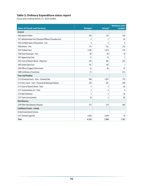### **Table 2: Ordinary Expenditure status report**

Fiscal year ending March 31, 2020 (\$000)

| <b>Sales of Goods and Services</b>                           | <b>Budget</b>  | <b>Actual</b>  | <b>Variance over</b><br>(under) |
|--------------------------------------------------------------|----------------|----------------|---------------------------------|
| General                                                      |                |                |                                 |
| 1863 Queen's Printer                                         | 140            | 124            | (16)                            |
| 1817 Administration Fees (Provincial Offences Procedure Act) | 6              | $\overline{2}$ | (4)                             |
| 1833 Certified Copies of Documents - Fees                    | 4              | 4              | $\mathbf{0}$                    |
| 1836 Divorce - Fees                                          | 175            | 165            | (10)                            |
| 1837 Probate Court                                           | 1,500          | 1,974          | 474                             |
| 1838 Court Transcripts - Fees                                | 80             | 98             | 18                              |
| 1873 Appeal Court Fees                                       | 11             | 14             | 3                               |
| 1875 Court of Queen's Bench - Filing Fees                    | 520            | 485            | (35)                            |
| 1892 Small Claims Fees                                       | 181            | 182            | $\mathbf{1}$                    |
| 1895 Office of Support Enforcement                           | 35             | 82             | 47                              |
| 1898 Certificates of Conviction                              | 21             |                | (21)                            |
| <b>Fines and Penalties</b>                                   |                |                |                                 |
| 2112 Provincial Courts - Fines - Criminal Code               | 900            | 1,691          | 791                             |
| 2113 Prov. Courts - Fines - Provincial & Municipal Statutes  | 250            | 201            | (49)                            |
| 2115 Court of Oueen's Bench - Fines                          | 5              | 5              | (0)                             |
| 2117 Contraventions Act - Fines                              | $\overline{2}$ | 6              | 4                               |
| 2122 Bail Forfeitures                                        | 5              | $\overline{2}$ | (4)                             |
| 2121 Court cost recoveries                                   | 10             | $\overline{2}$ | (8)                             |
| <b>Miscellaneous</b>                                         |                |                |                                 |
| 2299 Other Miscellaneous Revenue                             | 272            | 224            | (48)                            |
| <b>Conditional Grants - Canada</b>                           |                |                |                                 |
| <b>Central Government Services</b>                           |                |                |                                 |
| 2417 Criminal Legal Aid                                      | 2,626          | 2,644          | 18                              |
| <b>Total</b>                                                 | 6,743          | 7,904          | 1,161                           |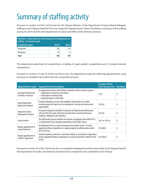## <span id="page-22-0"></span>Summary of staffing activity

Pursuant to section 4 of the *Civil Service Act*, the Deputy Minister of the Department Treasury Board delegates staffing to each Deputy Head for his or her respective department(s). Please find below a summary of the staffing activity for 2019-2020 for the Department of Justice and Office of the Attorney General.

| Number of permanent and temporary employees as<br>of Dec. 31 of each year |      |      |  |
|---------------------------------------------------------------------------|------|------|--|
| <b>Employee type</b>                                                      | 2019 | 2018 |  |
| Permanent                                                                 | 392  | 174  |  |
| <b>Temporary</b>                                                          | 56   | 15   |  |
| Total                                                                     | 448  | 189  |  |

The department advertised 44 competitions, including 32 open (public) competitions and 12 closed (internal) competitions.

Pursuant to sections 15 and 16 of the *Civil Service Act*, the department made the following appointments using processes to establish merit other than the competitive process:

| <b>Appointment type</b>                               | <b>Appointment description</b>                                                                                                                                                                       | Section of the<br><b>Civil Service Act</b> | <b>Number</b> |
|-------------------------------------------------------|------------------------------------------------------------------------------------------------------------------------------------------------------------------------------------------------------|--------------------------------------------|---------------|
| Specialized Professional,<br>Scientific or Technical  | An appointment may be made without competition when a position requires:<br>$-$ a high degree of expertise and training<br>- a high degree of technical skill<br>- recognized experts in their field | 15(1)                                      | $\theta$      |
| Equal Employment<br><b>Opportunity Program</b>        | Provides Aboriginals, persons with disabilities and members of a visible<br>minority group with equal access to employment, training and advancement<br>opportunities.                               | 16(1)(a)                                   | $\theta$      |
| <b>Department Talent</b><br><b>Management Program</b> | Permanent employees identified in corporate and departmental talent pools,<br>who meet the four-point criteria for assessing talent, namely performance,<br>readiness, willingness and criticalness. | 16(1)(b)                                   | $\theta$      |
| Lateral transfer                                      | The GNB transfer process facilitates the transfer of employees from within Part 1,<br>2 (school boards) and 3 (hospital corporations) of the Public Service.                                         | $16(1)$ or $16(1)(c)$                      | 8             |
| Regular appointment of<br>casual/temporary            | An individual hired on a casual or temporary basis under section 17 may be<br>appointed without competition to a regular properly classified position within<br>the Civil Service.                   | 16(1)(d)(i)                                | $\theta$      |
| Regular appointment of<br>students/apprentices        | Summer students, university or community college co-op students or apprentices<br>may be appointed without competition to an entry level position within the Civil<br>Service.                       | 16(1)(d)(ii)                               | 0             |

Pursuant to section 33 of the *Civil Service Act*, no complaints alleging favouritism were made to the Deputy Head of the Department of Justice and Attorney General and no complaints were submitted to the Ombud.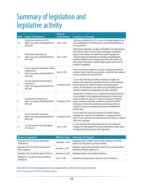## <span id="page-23-0"></span>Summary of legislation and legislative activity

| Bill# | <b>Name of legislation</b>                                                                                            | <b>Date of</b><br><b>Royal Assent</b> | <b>Summary of changes</b>                                                                                                                                                                                                                                                                                                                                                                                                                                                             |
|-------|-----------------------------------------------------------------------------------------------------------------------|---------------------------------------|---------------------------------------------------------------------------------------------------------------------------------------------------------------------------------------------------------------------------------------------------------------------------------------------------------------------------------------------------------------------------------------------------------------------------------------------------------------------------------------|
| 20    | Statute Law Amendment Act 2019.<br>https://www.gnb.ca/legis/bill/pdf/59/2/<br>Bill-20.pdf                             | June 14, 2019                         | Statute Law Amendment Act 2019. is a part of the regular updates to the<br>Acts and Regulations of New Brunswick, to avoid misinterpretations of<br>certain provisions.                                                                                                                                                                                                                                                                                                               |
| 31    | Official Notices Publications Act.<br>https://www.gnb.ca/legis/bill/pdf/59/2/<br>Bill-31.pdf                          | June 14, 2019                         | Official Notices Publications Act allows for flexibility in the administration<br>of the Queen's Printer Act and for future consideration of publication<br>options. It also removes the requirement to publish regulations in<br>The Royal Gazette and eliminates the redundancy of publishing the<br>regulations officially on two separate pages of the same website. The<br>Royal Gazette will continue to publish legally required notices with the<br>exception of regulations. |
| 32    | An Act to Amend the Enforcement of Money<br>Judgements Act.<br>https://www.gnb.ca/legis/bill/pdf/59/2/<br>Bill-32.pdf | June 14, 2019                         | Enforcement of Money Judgments Act creates a complete exemption for<br>retirement funds. Under the new provisions, a sheriff will not be allowed<br>to seize any portion of a retirement fund.                                                                                                                                                                                                                                                                                        |
| 4     | An Act to Amend the Provincial Offences<br>Procedure Act.<br>https://www.qnb.ca/legis/bill/pdf/59/3/<br>Bill-4.pdf    | December 20, 2019                     | An Act to Amend the Provincial Offences Procedure Act updates the<br>grounds under which bail may be denied. The focus on these provisions<br>has been raised in the context of domestic and intimate partner<br>violence. The amendments were made to ensure that judges have the<br>authority to detain an accused pending trial where warranted.                                                                                                                                   |
| 6     | Enduring Powers of Attorney Act.<br>https://www.qnb.ca/legis/bill/pdf/59/3/<br>Bill-6.pdf                             | December 20, 2019                     | Enduring Powers of Attorney Act is a comprehensive Act that modernizes<br>and consolidates the law regarding enduring powers of attorney and<br>health care directives into one act. It governs all aspects of enduring<br>powers of attorney and health care directives, provides that all the<br>existing ones remain valid, and includes several measures that are<br>designed to improve accountability and decrease the likelihood of<br>financial abuse.                        |
| 23    | An Act to Amend the Property Act.<br>https://www.gnb.ca/legis/bill/pdf/59/3/<br>Bill-23.pdf                           | December 20, 2019                     | An Act to Amend the Property Act decreases the number of times a<br>mortgage sale is required to be published in a newspaper from four<br>times to twice and removes the requirements to post notices at a registry<br>office and a courthouse.                                                                                                                                                                                                                                       |
| 15    | An Act to Amend the Proceeding Against<br>the Crown Act                                                               | June 14, 2019                         | An Act to Amend the Proceedings Against the Crown Act includes the<br>Canadian Free Trade Agreement to ensure enforceability of orders under<br>the Dispute Resolution provisions of the agreement.                                                                                                                                                                                                                                                                                   |

| Name of regulation                                                     | <b>Effective date</b> | <b>Summary of changes</b>                                                                                                  |
|------------------------------------------------------------------------|-----------------------|----------------------------------------------------------------------------------------------------------------------------|
| Regulation 2019-24 under the Official Notice<br><b>Publication Act</b> | September 1, 2019     | Regulation made to establish the fees for the publication in The Royal<br>Gazette of the document set out in the schedule. |
| Regulation 2019-32 under the Enforcement of<br>Money Judgments         | December 1, 2019      | Regulation made to govern procedures related to the amendment of the<br>Enforcement of Money Judgments Act.                |
| Regulation 2019-25 under the Queen's Printer Act                       | November 21, 2019     | Regulation made to remove obsolete references.                                                                             |
| Regulation 91-50 under the Provincial Offences<br>Procedure Act        | June 11, 2020         | Regulation prescribing violation ticket form and related process.                                                          |

The acts for which the department was responsible in 2019-2020 may be found at: <http://laws.gnb.ca/en/BrowseRegChapter>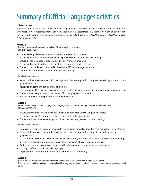## <span id="page-24-0"></span>Summary of Official Languages activities

### **Introduction**

The Department of Justice and Office of the Attorney General continued to ensure its obligations under the *Official Languages Act* were met throughout the organization. Below are associated activities that were carried out throughout the year to support the four sectors of activity (focus) in GNB's *[Plan on Official Languages Official Bilingualism:](http://www2.gnb.ca/content/dam/gnb/Departments/iga-aig/pdf/PlanonOfficialLanguagesOfficialBilingualismAFundamentalValue.pdf) [A Fundamental Value](http://www2.gnb.ca/content/dam/gnb/Departments/iga-aig/pdf/PlanonOfficialLanguagesOfficialBilingualismAFundamentalValue.pdf)*.

#### **Focus 1**

Ensure access to service of equal quality in English and French throughout the province: Objectives for 2019-2020:

- Ensure a bilingual offer of service is extended at first point of contact;
- Ensure a balance of linguistic capabilities to provide service in both Official Languages;
- Ensure bilingual signage is properly displayed at first point of contact;
- Ensure staff understand the requirement for bilingual voice mail messages;
- Ensure correspondence is provided in the client's Official Language of choice;
- Generic correspondence is sent in both Official Languages.

#### Activities to meet objectives:

- As part of the employee orientation package, new hires are required to complete the training module on Language of Service;
- Review and update linguistic profiles as required;
- The Language of Service policy is reviewed yearly with employees during their annual work planning meeting;
- Correspondence is provided in the client's official language of choice; and
- Employees are reminded periodically of their obligations.

#### **Focus 2**

An environment and climate that encourages, for all employees, the use of the Official Language of their choice in their workplace: Objectives for 2019-2020:

- Ensure performance reviews are conducted in the employee's Official Language of choice;
- Ensure an employee's computer is set up in their preferred language; and
- Ensure employees are given the opportunity to use their language of choice at meetings.

#### Activities to meet objectives:

- New hires are required to identify their preferred language for oral and written communications at point of hire;
- As part of the employee orientation package, new hires are required to complete the training module on Language of Work;
- The Language of Work policy is reviewed yearly with employees during their annual work planning meeting;
- Managers conduct performance reviews in their employee's official language of choice;
- During orientation, new employees are asked for their preferred language for computer set-up;
- Training is offered in both Official Languages;
- Departmental communication is provided in both Official Languages;

#### **Focus 3**

Strategic means taken to ensure the department considered the realities of the province's official linguistic communities: The impact on either official linguistic community and/or Official Languages requirements are factors that are considered in the design/development of policy.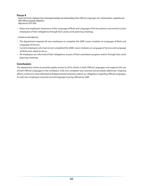### **Focus 4**

Ensure Civil Service employees have a thorough knowledge and understanding of the *Official Languages Act*, relevant policies, regulations and GNB's Official Languages obligations: Objectives for 2019-2020:

• Raise new employees' awareness of the Language of Work and Language of Service policies and remind current employees of their obligations through their yearly work planning meetings.

Activities to meet objectives:

- The department required all new employees to complete the GNB I-Learn modules on Language of Work and Language of Service;
- Current employees who had not yet completed the GNB I-Learn modules on Language of Service and Language of Work were asked to do so;
- All employees are informed of their obligations as part of their orientation program and/or through their work planning meetings.

### **Conclusion:**

The department strives to provide quality service to all its clients in both Official Languages and supports the use of both Official Languages in the workplace. Only one complaint was received and promptly addressed. Ongoing efforts continue to raise individual and departmental awareness about our obligations regarding Official Languages. As well, four employees received second language training offered by GNB.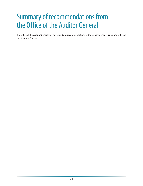## <span id="page-26-0"></span>Summary of recommendations from the Office of the Auditor General

The Office of the Auditor General has not issued any recommendations to the Department of Justice and Office of the Attorney General.